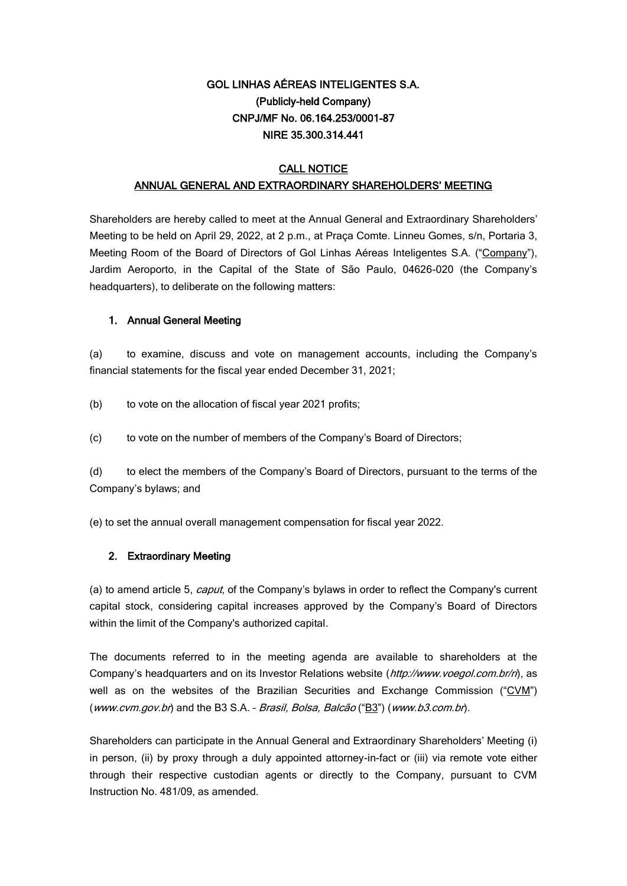## GOL LINHAS AÉREAS INTELIGENTES S.A. (Publicly-held Company) CNPJ/MF No. 06.164.253/0001-87 NIRE 35.300.314.441

## **CALL NOTICE** ANNUAL GENERAL AND EXTRAORDINARY SHAREHOLDERS' MEETING

Shareholders are hereby called to meet at the Annual General and Extraordinary Shareholders' Meeting to be held on April 29, 2022, at 2 p.m., at Praça Comte. Linneu Gomes, s/n, Portaria 3, Meeting Room of the Board of Directors of Gol Linhas Aéreas Inteligentes S.A. ("Company"), Jardim Aeroporto, in the Capital of the State of São Paulo, 04626-020 (the Company's headquarters), to deliberate on the following matters:

## 1. Annual General Meeting

(a) to examine, discuss and vote on management accounts, including the Company's financial statements for the fiscal year ended December 31, 2021;

- (b) to vote on the allocation of fiscal year 2021 profits;
- (c) to vote on the number of members of the Company's Board of Directors;

(d) to elect the members of the Company's Board of Directors, pursuant to the terms of the Company's bylaws; and

(e) to set the annual overall management compensation for fiscal year 2022.

## 2. Extraordinary Meeting

(a) to amend article 5, *caput*, of the Company's bylaws in order to reflect the Company's current capital stock, considering capital increases approved by the Company's Board of Directors within the limit of the Company's authorized capital.

The documents referred to in the meeting agenda are available to shareholders at the Company's headquarters and on its Investor Relations website (http://www.voegol.com.br/ri), as well as on the websites of the Brazilian Securities and Exchange Commission ("CVM") (www.cvm.gov.br) and the B3 S.A. - Brasil, Bolsa, Balcão ("B3") (www.b3.com.br).

Shareholders can participate in the Annual General and Extraordinary Shareholders' Meeting (i) in person, (ii) by proxy through a duly appointed attorney-in-fact or (iii) via remote vote either through their respective custodian agents or directly to the Company, pursuant to CVM Instruction No. 481/09, as amended.